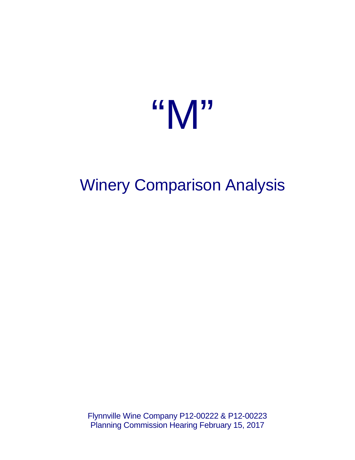# "M"

## Winery Comparison Analysis

Flynnville Wine Company P12-00222 & P12-00223 Planning Commission Hearing February 15, 2017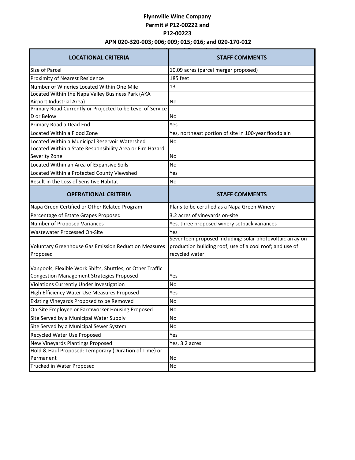### **Flynnville Wine Company Permit # P12-00222 and P12-00223 APN 020-320-003; 006; 009; 015; 016; and 020-170-012**

| <b>LOCATIONAL CRITERIA</b>                                                                | <b>STAFF COMMENTS</b>                                                                                                                    |
|-------------------------------------------------------------------------------------------|------------------------------------------------------------------------------------------------------------------------------------------|
| Size of Parcel                                                                            | 10.09 acres (parcel merger proposed)                                                                                                     |
| Proximity of Nearest Residence                                                            | 185 feet                                                                                                                                 |
| Number of Wineries Located Within One Mile                                                | 13                                                                                                                                       |
| Located Within the Napa Valley Business Park (AKA                                         |                                                                                                                                          |
| Airport Industrial Area)                                                                  | No                                                                                                                                       |
| Primary Road Currently or Projected to be Level of Service                                |                                                                                                                                          |
| D or Below                                                                                | No                                                                                                                                       |
| Primary Road a Dead End                                                                   | Yes                                                                                                                                      |
| Located Within a Flood Zone                                                               | Yes, northeast portion of site in 100-year floodplain                                                                                    |
| Located Within a Municipal Reservoir Watershed                                            | No                                                                                                                                       |
| Located Within a State Responsibility Area or Fire Hazard                                 |                                                                                                                                          |
| Severity Zone                                                                             | No                                                                                                                                       |
| Located Within an Area of Expansive Soils                                                 | <b>No</b>                                                                                                                                |
| Located Within a Protected County Viewshed                                                | Yes                                                                                                                                      |
| Result in the Loss of Sensitive Habitat                                                   | No                                                                                                                                       |
| <b>OPERATIONAL CRITERIA</b>                                                               | <b>STAFF COMMENTS</b>                                                                                                                    |
| Napa Green Certified or Other Related Program                                             | Plans to be certified as a Napa Green Winery                                                                                             |
| Percentage of Estate Grapes Proposed                                                      | 3.2 acres of vineyards on-site                                                                                                           |
| Number of Proposed Variances                                                              | Yes, three proposed winery setback variances                                                                                             |
| Wastewater Processed On-Site                                                              | Yes                                                                                                                                      |
| Voluntary Greenhouse Gas Emission Reduction Measures<br>Proposed                          | Seventeen proposed including: solar photovoltaic array on<br>production building roof; use of a cool roof; and use of<br>recycled water. |
| Vanpools, Flexible Work Shifts, Shuttles, or Other Traffic                                |                                                                                                                                          |
| <b>Congestion Management Strategies Proposed</b>                                          | Yes                                                                                                                                      |
| Violations Currently Under Investigation                                                  | No                                                                                                                                       |
| High Efficiency Water Use Measures Proposed                                               | Yes                                                                                                                                      |
| Existing Vineyards Proposed to be Removed                                                 | No                                                                                                                                       |
| On-Site Employee or Farmworker Housing Proposed                                           | No                                                                                                                                       |
| Site Served by a Municipal Water Supply                                                   | No                                                                                                                                       |
| Site Served by a Municipal Sewer System                                                   | No                                                                                                                                       |
| Recycled Water Use Proposed                                                               |                                                                                                                                          |
|                                                                                           | Yes                                                                                                                                      |
| New Vineyards Plantings Proposed<br>Hold & Haul Proposed: Temporary (Duration of Time) or | Yes, 3.2 acres                                                                                                                           |
| Permanent                                                                                 | No                                                                                                                                       |
| Trucked in Water Proposed                                                                 | No                                                                                                                                       |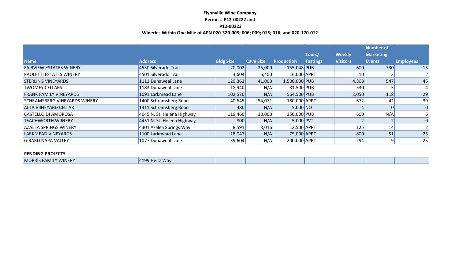#### **Flynnville Wine Company Permit # P12-00222 and P12-00223**

#### **Wineries Within One Mile of APN 020-320-003; 006; 009; 015; 016; and 020-170-012**

|                                     |                            |                  |                  |                   |                           |                                  | <b>Number of</b>                  |                  |
|-------------------------------------|----------------------------|------------------|------------------|-------------------|---------------------------|----------------------------------|-----------------------------------|------------------|
| <b>Name</b>                         | <b>Address</b>             | <b>Bldg Size</b> | <b>Cave Size</b> | <b>Production</b> | Tours/<br><b>Tastings</b> | <b>Weekly</b><br><b>Visitors</b> | <b>Marketing</b><br><b>Events</b> | <b>Employees</b> |
|                                     |                            |                  |                  |                   |                           |                                  |                                   |                  |
| <b>FAIRVIEW ESTATES WINERY</b>      | 4550 Silverado Trail       | 20,002           | 25,000           | 155,048 PUB       |                           | 600                              | 730                               | 15               |
| <b>PAOLETTI ESTATES WINERY</b>      | 4501 Silverado Trail       | 3,604            | 6,400            | 16,000 APPT       |                           | 10                               |                                   |                  |
| <b>STERLING VINEYARDS</b>           | 1111 Dunaweal Lane         | 120,362          | 41,000           | 1,500,000 PUB     |                           | 4,808                            | 547                               | 46               |
| <b>TWOMEY CELLARS</b>               | 1183 Dunaweal Lane         | 18,940           | N/A              | 81,500 PUB        |                           | 530                              |                                   |                  |
| <b>FRANK FAMILY VINEYARDS</b>       | 1091 Larkmead Lane         | 102,570          | N/A              | 564,500 PUB       |                           | 2,050                            | 118                               | 29               |
| <b>SCHRAMSBERG VINEYARDS WINERY</b> | 1400 Schramsberg Road      | 40,645           | 54,071           | 180,000 APPT      |                           | 672                              | 42                                | 39               |
| <b>ALTA VIINEYARD CELLAR</b>        | 1311 Schramsberg Road      | 480              | N/A              | $5,000$ NO        |                           |                                  | 0                                 | 0                |
| CASTELLO DI AMOROSA                 | 4045 N. St. Helena Highway | 119,460          | 30,000           | 250,000 PUB       |                           | 600                              | N/A                               | 61               |
| <b>TEACHWORTH WIINERY</b>           | 4451 N. St. Helena Highway | 800              | N/A              | $5,000$ PVT       |                           |                                  |                                   | $\Omega$         |
| <b>AZALEA SPRINGS WINERY</b>        | 4301 Azalea Springs Way    | 8,591            | 3,016            | 12,500 APPT       |                           | 125                              | 14                                |                  |
| <b>LARKMEAD VINEYARDS</b>           | 1100 Larkmead Lane         | 18,047           | N/A              | 75,000 APPT       |                           | 800                              | 51                                | 25               |
| <b>GIRARD NAPA VALLEY</b>           | 1077 Dunaweal Lane         | 39,604           | N/A              | 200,000 APPT      |                           | 294                              | 9 <sup>1</sup>                    | 25               |

#### **PENDING PROJECTS**

| the contract of the contract of the contract of the contract of the contract of the contract of the contract of<br><b>Way</b><br><b>WINERY</b><br><b>MORRIS</b><br>.<br>FAMII |  |  |  |
|-------------------------------------------------------------------------------------------------------------------------------------------------------------------------------|--|--|--|
|-------------------------------------------------------------------------------------------------------------------------------------------------------------------------------|--|--|--|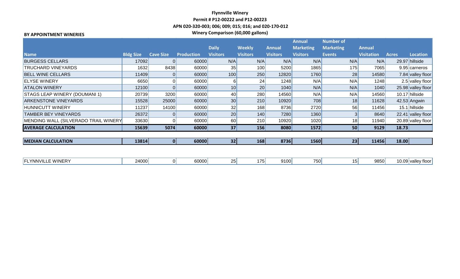#### **Flynnville Winery Permit # P12-00222 and P12-00223 APN 020-320-003; 006; 009; 015; 016; and 020-170-012 Winery Comparison (60,000 gallons) BY APPOINTMENT WINERIES**

|                                      |                  |                  |                   |                 |                 |                 | <b>Annual</b>    | <b>Number of</b> |                   |              |                    |
|--------------------------------------|------------------|------------------|-------------------|-----------------|-----------------|-----------------|------------------|------------------|-------------------|--------------|--------------------|
|                                      |                  |                  |                   | <b>Daily</b>    | <b>Weekly</b>   | <b>Annual</b>   | <b>Marketing</b> | <b>Marketing</b> | <b>Annual</b>     |              |                    |
| <b>Name</b>                          | <b>Bldg Size</b> | <b>Cave Size</b> | <b>Production</b> | <b>Visitors</b> | <b>Visitors</b> | <b>Visitors</b> | <b>Visitors</b>  | <b>Events</b>    | <b>Visitation</b> | <b>Acres</b> | <b>Location</b>    |
| <b>BURGESS CELLARS</b>               | 17092            |                  | 60000             | N/A             | N/A             | N/A             | N/A              | N/A              | N/A               |              | 29.97 hillside     |
| <b>TRUCHARD VINEYARDS</b>            | 1632             | 8438             | 60000             | 35              | 100             | 5200            | 1865             | 175              | 7065              |              | 9.95 carneros      |
| <b>BELL WINE CELLARS</b>             | 11409            | 0                | 60000             | 100             | 250             | 12820           | 1760             | 28               | 14580             |              | 7.84 valley floor  |
| <b>ELYSE WINERY</b>                  | 6650             |                  | 60000             | 6               | 24              | 1248            | N/A              | N/A              | 1248              |              | 2.5 valley floor   |
| <b>ATALON WINERY</b>                 | 12100            | 0                | 60000             | 10              | 20              | 1040            | N/A              | N/A              | 1040              |              | 25.98 valley floor |
| <b>STAGS LEAP WINERY (DOUMANI 1)</b> | 20739            | 3200             | 60000             | 40              | 280             | 14560           | N/A              | N/A              | 14560             |              | 10.17 hillside     |
| <b>ARKENSTONE VINEYARDS</b>          | 15528            | 25000            | 60000             | 30              | 210             | 10920           | 708              | 18               | 11628             |              | $42.53$ Angwin     |
| <b>HUNNICUTT WINERY</b>              | 11237            | 14100            | 60000             | 32              | 168             | 8736            | 2720             | 56               | 11456             |              | 15.1 hillside      |
| <b>TAMBER BEY VINEYARDS</b>          | 26372            |                  | 60000             | 20              | 140             | 7280            | 1360             |                  | 8640              |              | 22.41 valley floor |
| MENDING WALL (SILVERADO TRAIL WINERY | 33630            |                  | 60000             | 60              | 210             | 10920           | 1020             | 18 <sub>1</sub>  | 11940             |              | 20.89 valley floor |
| <b>AVERAGE CALCULATION</b>           | 15639            | 5074             | 60000             | 37              | 156             | 8080            | 1572             | 50               | 9129              | 18.73        |                    |
|                                      |                  |                  |                   |                 |                 |                 |                  |                  |                   |              |                    |
| <b>MEDIAN CALCULATION</b>            | 13814            |                  | 60000             | 32              | 168             | 8736            | 1560             | 23               | 11456             | 18.00        |                    |
|                                      |                  |                  |                   |                 |                 |                 |                  |                  |                   |              |                    |
|                                      |                  |                  |                   |                 |                 |                 |                  |                  |                   |              |                    |
| <b>FLYNNVILLE WINERY</b>             | 24000            | 0                | 60000             | 25              | 175             | 9100            | 750              | 15               | 9850              |              | 10.09 valley floor |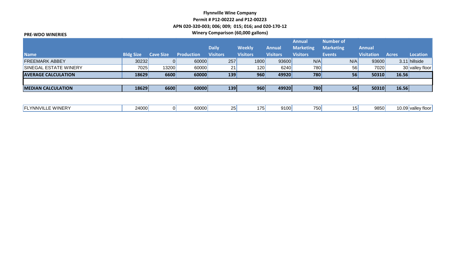#### **Flynnville Wine Company Permit # P12-00222 and P12-00223 APN 020-320-003; 006; 009; 015; 016; and 020-170-12 Winery Comparison (60,000 gallons) PRE-WDO WINERIES**

| , NL-VVDU VVIIVLINLJ         |                  |                  |                   |                 |                 |                 |                  |                  |                   |              |                 |
|------------------------------|------------------|------------------|-------------------|-----------------|-----------------|-----------------|------------------|------------------|-------------------|--------------|-----------------|
|                              |                  |                  |                   |                 |                 |                 | <b>Annual</b>    | <b>Number of</b> |                   |              |                 |
|                              |                  |                  |                   | <b>Daily</b>    | <b>Weekly</b>   | <b>Annual</b>   | <b>Marketing</b> | <b>Marketing</b> | <b>Annual</b>     |              |                 |
| <b>Name</b>                  | <b>Bldg Size</b> | <b>Cave Size</b> | <b>Production</b> | <b>Visitors</b> | <b>Visitors</b> | <b>Visitors</b> | <b>Visitors</b>  | <b>Events</b>    | <b>Visitation</b> | <b>Acres</b> | Location        |
| <b>FREEMARK ABBEY</b>        | 30232            |                  | 60000             | 257             | 1800            | 93600           | N/A              | N/A              | 93600             |              | 3.11 hillside   |
| <b>SINEGAL ESTATE WINERY</b> | 7025             | 13200            | 60000             | 21              | 120             | 6240            | 780              | 56               | 7020              |              | 30 valley floor |
| <b>AVERAGE CALCULATION</b>   | 18629            | 6600             | 60000             | 139             | 960             | 49920           | 780              | 56               | 50310             | 16.56        |                 |
|                              |                  |                  |                   |                 |                 |                 |                  |                  |                   |              |                 |
| <b>MEDIAN CALCULATION</b>    | 18629            | 6600             | 60000             | 139             | 960             | 49920           | 780              | 56               | 50310             | 16.56        |                 |
|                              |                  |                  |                   |                 |                 |                 |                  |                  |                   |              |                 |

| WINERY<br><b>NNVII</b><br>. . <i>.</i><br>' ⊢ | 24000 |  | anna l<br><b>OUUUU</b> | <u>_</u> |  | 9100 | 750 |  | <b>QREAL</b><br>ສດວນມ | 10.<br>$\overline{\mathbf{u}}$<br>$.$ + $\sim$<br><b>U.U.</b><br>VCIIR |
|-----------------------------------------------|-------|--|------------------------|----------|--|------|-----|--|-----------------------|------------------------------------------------------------------------|
|-----------------------------------------------|-------|--|------------------------|----------|--|------|-----|--|-----------------------|------------------------------------------------------------------------|